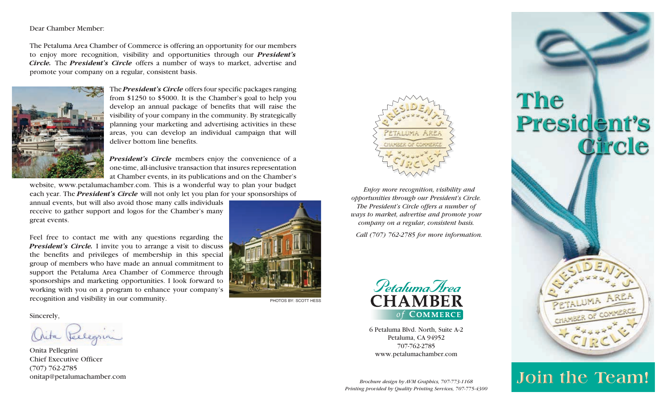## Dear Chamber Member:

The Petaluma Area Chamber of Commerce is offering an opportunity for our members to enjoy more recognition, visibility and opportunities through our *President's Circle.* The *President's Circle* offers a number of ways to market, advertise and promote your company on a regular, consistent basis.



The *President's Circle* offers four specific packages ranging from \$1250 to \$5000. It is the Chamber's goal to help you develop an annual package of benefits that will raise the visibility of your company in the community. By strategically planning your marketing and advertising activities in these areas, you can develop an individual campaign that will deliver bottom line benefits.

*President's Circle* members enjoy the convenience of a one-time, all-inclusive transaction that insures representation at Chamber events, in its publications and on the Chamber's

website, www.petalumachamber.com. This is a wonderful way to plan your budget each year. The *President's Circle* will not only let you plan for your sponsorships of

annual events, but will also avoid those many calls individuals receive to gather support and logos for the Chamber's many great events.

Feel free to contact me with any questions regarding the *President's Circle.* I invite you to arrange a visit to discuss the benefits and privileges of membership in this special group of members who have made an annual commitment to support the Petaluma Area Chamber of Commerce through sponsorships and marketing opportunities. I look forward to working with you on a program to enhance your company's recognition and visibility in our community.

## Sincerely,

Aita Vellegrini

Onita Pellegrini Chief Executive Officer (707) 762-2785 onitap@petalumachamber.com



PHOTOS BY: SCOTT HESS



*Enjoy more recognition, visibility and opportunities through our President's Circle. The President's Circle offers a number of ways to market, advertise and promote your company on a regular, consistent basis.*

*Call (707) 762-2785 for more information.*



6 Petaluma Blvd. North, Suite A-2 Petaluma, CA 94952 707-762-2785 www.petalumachamber.com